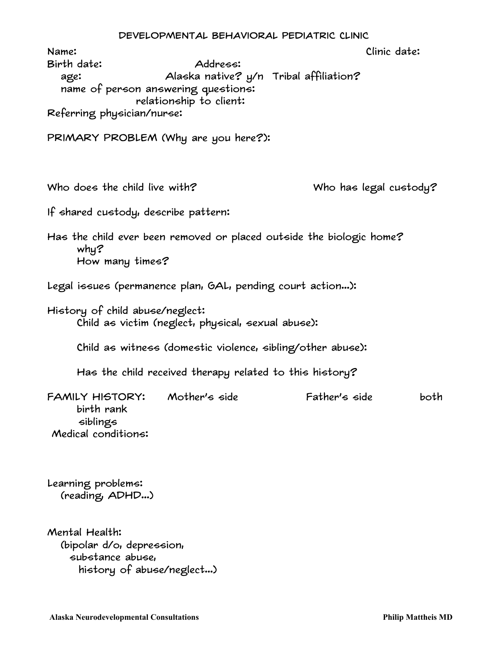|                                                                                                                                           | DEVELOPMENTAL BEHAVIORAL PEDIATRIC CLINIC                                     |               |                        |  |
|-------------------------------------------------------------------------------------------------------------------------------------------|-------------------------------------------------------------------------------|---------------|------------------------|--|
| Name:<br>Birth date:<br>age:<br>name of person answering questions:<br>Referring physician/nurse:<br>PRIMARY PROBLEM (Why are you here?): | Address:<br>Alaska native? y/n Tribal affiliation?<br>relationship to client: |               | Clinic date:           |  |
| Who does the child live with?<br>If shared custody, describe pattern:                                                                     |                                                                               |               | Who has legal custody? |  |
| Has the child ever been removed or placed outside the biologic home?<br>$why$ ?<br>How many times?                                        |                                                                               |               |                        |  |
| Legal issues (permanence plan, GAL, pending court action):                                                                                |                                                                               |               |                        |  |
| History of child abuse/neglect:                                                                                                           | Child as victim (neglect, physical, sexual abuse):                            |               |                        |  |
|                                                                                                                                           | Child as witness (domestic violence, sibling/other abuse):                    |               |                        |  |
|                                                                                                                                           | Has the child received therapy related to this history?                       |               |                        |  |
| FAMILY HISTORY: Mother's side<br>birth rank<br>siblings<br>Medical conditions:                                                            |                                                                               | Father's side | both                   |  |
| Learning problems:<br>(reading, ADHD)                                                                                                     |                                                                               |               |                        |  |
| Mental Health:                                                                                                                            |                                                                               |               |                        |  |

 (bipolar d/o, depression, substance abuse, history of abuse/neglect...)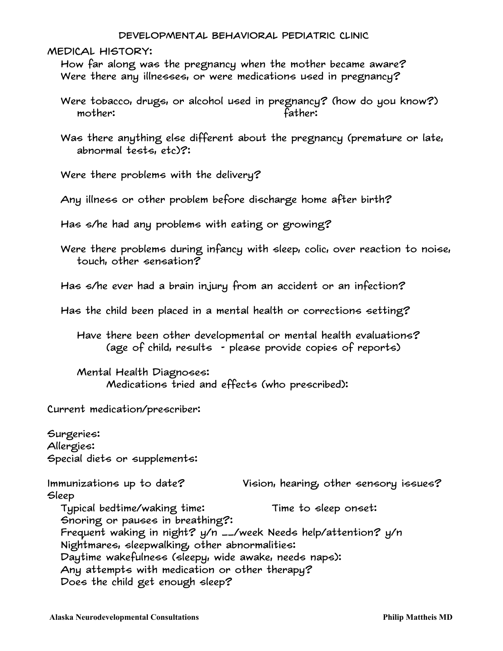## Developmental Behavioral Pediatric Clinic

MEDICAL HISTORY:

 How far along was the pregnancy when the mother became aware? Were there any illnesses, or were medications used in pregnancy?

 Were tobacco, drugs, or alcohol used in pregnancy? (how do you know?) mother: father:

 Was there anything else different about the pregnancy (premature or late, abnormal tests, etc)?:

Were there problems with the delivery?

Any illness or other problem before discharge home after birth?

Has s/he had any problems with eating or growing?

 Were there problems during infancy with sleep, colic, over reaction to noise, touch, other sensation?

Has s/he ever had a brain injury from an accident or an infection?

Has the child been placed in a mental health or corrections setting?

 Have there been other developmental or mental health evaluations? (age of child, results - please provide copies of reports)

 Mental Health Diagnoses: Medications tried and effects (who prescribed):

Current medication/prescriber:

Surgeries: Allergies: Special diets or supplements: Immunizations up to date? Vision, hearing, other sensory issues? Sleep Typical bedtime/waking time: Time to sleep onset: Snoring or pauses in breathing?: Frequent waking in night? y/n \_\_/week Needs help/attention? y/n Nightmares, sleepwalking, other abnormalities: Daytime wakefulness (sleepy, wide awake, needs naps): Any attempts with medication or other therapy? Does the child get enough sleep?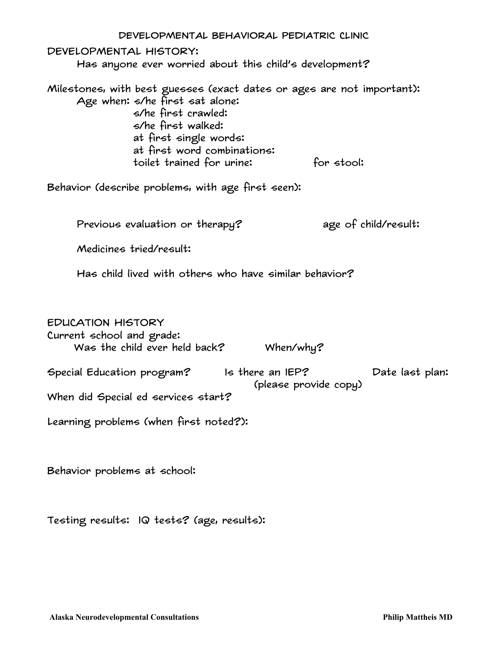| DEVELOPMENTAL BEHAVIORAL PEDIATRIC CLINIC                                                                                                                                                                                                                  |
|------------------------------------------------------------------------------------------------------------------------------------------------------------------------------------------------------------------------------------------------------------|
| DEVELOPMENTAL HISTORY:<br>Has anyone ever worried about this child's development?                                                                                                                                                                          |
| Milestones, with best guesses (exact dates or ages are not important):<br>Age when: s/he first sat alone:<br>s/he first crawled:<br>s/he first walked:<br>at first single words:<br>at first word combinations:<br>toilet trained for urine:<br>for stool: |
| Behavior (describe problems, with age first seen):                                                                                                                                                                                                         |
| age of child/result:<br>Previous evaluation or therapy?                                                                                                                                                                                                    |
| Medicines tried/result:                                                                                                                                                                                                                                    |
| Has child lived with others who have similar behavior?                                                                                                                                                                                                     |
| <b>EDUCATION HISTORY</b><br>Current school and grade:<br>Was the child ever held back?<br>When/why?                                                                                                                                                        |
| Special Education program? Is there an IEP?<br>Date last plan:                                                                                                                                                                                             |
| (please provide copy)<br>When did Special ed services start?                                                                                                                                                                                               |
| Learning problems (when first noted?):                                                                                                                                                                                                                     |
| Behavior problems at school:                                                                                                                                                                                                                               |

Testing results: IQ tests? (age, results):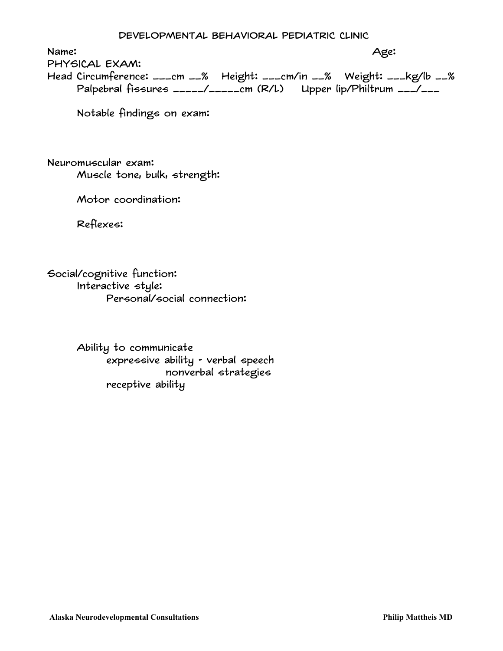Name: Age: PHYSICAL EXAM:

Head Circumference: \_\_\_cm \_\_% Height: \_\_\_cm/in \_\_% Weight: \_\_\_kg/lb \_\_% Palpebral fissures \_\_\_\_\_/\_\_\_\_\_cm (R/L) Upper lip/Philtrum \_\_\_/\_\_\_

Notable findings on exam:

Neuromuscular exam: Muscle tone, bulk, strength:

Motor coordination:

Reflexes:

Social/cognitive function: Interactive style: Personal/social connection:

> Ability to communicate expressive ability - verbal speech nonverbal strategies receptive ability